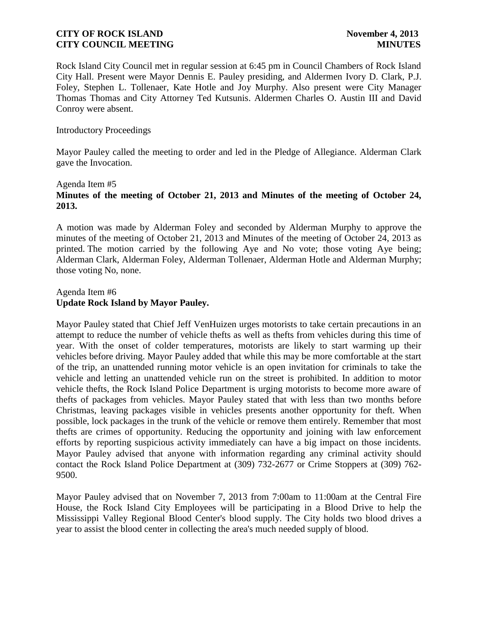Rock Island City Council met in regular session at 6:45 pm in Council Chambers of Rock Island City Hall. Present were Mayor Dennis E. Pauley presiding, and Aldermen Ivory D. Clark, P.J. Foley, Stephen L. Tollenaer, Kate Hotle and Joy Murphy. Also present were City Manager Thomas Thomas and City Attorney Ted Kutsunis. Aldermen Charles O. Austin III and David Conroy were absent.

#### Introductory Proceedings

Mayor Pauley called the meeting to order and led in the Pledge of Allegiance. Alderman Clark gave the Invocation.

## Agenda Item #5 **Minutes of the meeting of October 21, 2013 and Minutes of the meeting of October 24, 2013.**

A motion was made by Alderman Foley and seconded by Alderman Murphy to approve the minutes of the meeting of October 21, 2013 and Minutes of the meeting of October 24, 2013 as printed. The motion carried by the following Aye and No vote; those voting Aye being; Alderman Clark, Alderman Foley, Alderman Tollenaer, Alderman Hotle and Alderman Murphy; those voting No, none.

# Agenda Item #6 **Update Rock Island by Mayor Pauley.**

Mayor Pauley stated that Chief Jeff VenHuizen urges motorists to take certain precautions in an attempt to reduce the number of vehicle thefts as well as thefts from vehicles during this time of year. With the onset of colder temperatures, motorists are likely to start warming up their vehicles before driving. Mayor Pauley added that while this may be more comfortable at the start of the trip, an unattended running motor vehicle is an open invitation for criminals to take the vehicle and letting an unattended vehicle run on the street is prohibited. In addition to motor vehicle thefts, the Rock Island Police Department is urging motorists to become more aware of thefts of packages from vehicles. Mayor Pauley stated that with less than two months before Christmas, leaving packages visible in vehicles presents another opportunity for theft. When possible, lock packages in the trunk of the vehicle or remove them entirely. Remember that most thefts are crimes of opportunity. Reducing the opportunity and joining with law enforcement efforts by reporting suspicious activity immediately can have a big impact on those incidents. Mayor Pauley advised that anyone with information regarding any criminal activity should contact the Rock Island Police Department at (309) 732-2677 or Crime Stoppers at (309) 762- 9500.

Mayor Pauley advised that on November 7, 2013 from 7:00am to 11:00am at the Central Fire House, the Rock Island City Employees will be participating in a Blood Drive to help the Mississippi Valley Regional Blood Center's blood supply. The City holds two blood drives a year to assist the blood center in collecting the area's much needed supply of blood.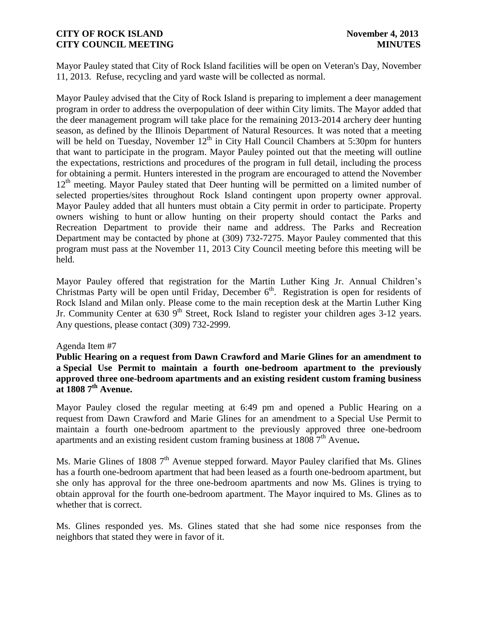Mayor Pauley stated that City of Rock Island facilities will be open on Veteran's Day, November 11, 2013. Refuse, recycling and yard waste will be collected as normal.

Mayor Pauley advised that the City of Rock Island is preparing to implement a deer management program in order to address the overpopulation of deer within City limits. The Mayor added that the deer management program will take place for the remaining 2013-2014 archery deer hunting season, as defined by the Illinois Department of Natural Resources. It was noted that a meeting will be held on Tuesday, November  $12<sup>th</sup>$  in City Hall Council Chambers at 5:30pm for hunters that want to participate in the program. Mayor Pauley pointed out that the meeting will outline the expectations, restrictions and procedures of the program in full detail, including the process for obtaining a permit. Hunters interested in the program are encouraged to attend the November 12<sup>th</sup> meeting. Mayor Pauley stated that Deer hunting will be permitted on a limited number of selected properties/sites throughout Rock Island contingent upon property owner approval. Mayor Pauley added that all hunters must obtain a City permit in order to participate. Property owners wishing to hunt or allow hunting on their property should contact the Parks and Recreation Department to provide their name and address. The Parks and Recreation Department may be contacted by phone at (309) 732-7275. Mayor Pauley commented that this program must pass at the November 11, 2013 City Council meeting before this meeting will be held.

Mayor Pauley offered that registration for the Martin Luther King Jr. Annual Children's Christmas Party will be open until Friday, December  $6<sup>th</sup>$ . Registration is open for residents of Rock Island and Milan only. Please come to the main reception desk at the Martin Luther King Jr. Community Center at  $630.9<sup>th</sup>$  Street, Rock Island to register your children ages 3-12 years. Any questions, please contact (309) 732-2999.

## Agenda Item #7

**Public Hearing on a request from Dawn Crawford and Marie Glines for an amendment to a Special Use Permit to maintain a fourth one-bedroom apartment to the previously approved three one-bedroom apartments and an existing resident custom framing business at 1808 7th Avenue.**

Mayor Pauley closed the regular meeting at 6:49 pm and opened a Public Hearing on a request from Dawn Crawford and Marie Glines for an amendment to a Special Use Permit to maintain a fourth one-bedroom apartment to the previously approved three one-bedroom apartments and an existing resident custom framing business at 1808 7<sup>th</sup> Avenue.

Ms. Marie Glines of 1808  $7<sup>th</sup>$  Avenue stepped forward. Mayor Pauley clarified that Ms. Glines has a fourth one-bedroom apartment that had been leased as a fourth one-bedroom apartment, but she only has approval for the three one-bedroom apartments and now Ms. Glines is trying to obtain approval for the fourth one-bedroom apartment. The Mayor inquired to Ms. Glines as to whether that is correct.

Ms. Glines responded yes. Ms. Glines stated that she had some nice responses from the neighbors that stated they were in favor of it.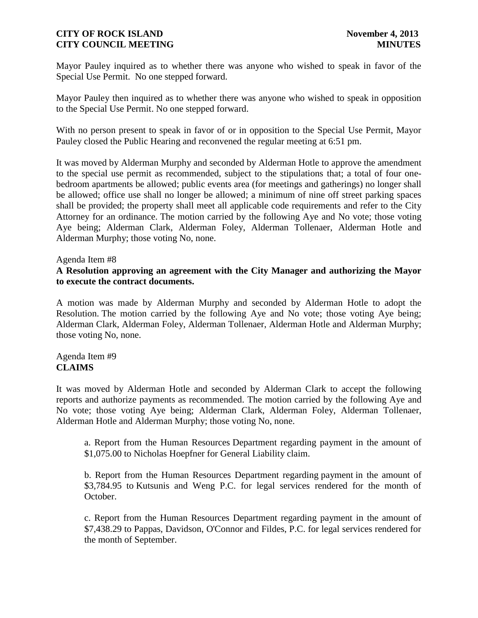Mayor Pauley inquired as to whether there was anyone who wished to speak in favor of the Special Use Permit. No one stepped forward.

Mayor Pauley then inquired as to whether there was anyone who wished to speak in opposition to the Special Use Permit. No one stepped forward.

With no person present to speak in favor of or in opposition to the Special Use Permit, Mayor Pauley closed the Public Hearing and reconvened the regular meeting at 6:51 pm.

It was moved by Alderman Murphy and seconded by Alderman Hotle to approve the amendment to the special use permit as recommended, subject to the stipulations that; a total of four onebedroom apartments be allowed; public events area (for meetings and gatherings) no longer shall be allowed; office use shall no longer be allowed; a minimum of nine off street parking spaces shall be provided; the property shall meet all applicable code requirements and refer to the City Attorney for an ordinance. The motion carried by the following Aye and No vote; those voting Aye being; Alderman Clark, Alderman Foley, Alderman Tollenaer, Alderman Hotle and Alderman Murphy; those voting No, none.

#### Agenda Item #8

**A Resolution approving an agreement with the City Manager and authorizing the Mayor to execute the contract documents.**

A motion was made by Alderman Murphy and seconded by Alderman Hotle to adopt the Resolution. The motion carried by the following Aye and No vote; those voting Aye being; Alderman Clark, Alderman Foley, Alderman Tollenaer, Alderman Hotle and Alderman Murphy; those voting No, none.

#### Agenda Item #9 **CLAIMS**

It was moved by Alderman Hotle and seconded by Alderman Clark to accept the following reports and authorize payments as recommended. The motion carried by the following Aye and No vote; those voting Aye being; Alderman Clark, Alderman Foley, Alderman Tollenaer, Alderman Hotle and Alderman Murphy; those voting No, none.

a. Report from the Human Resources Department regarding payment in the amount of \$1,075.00 to Nicholas Hoepfner for General Liability claim.

b. Report from the Human Resources Department regarding payment in the amount of \$3,784.95 to Kutsunis and Weng P.C. for legal services rendered for the month of October.

c. Report from the Human Resources Department regarding payment in the amount of \$7,438.29 to Pappas, Davidson, O'Connor and Fildes, P.C. for legal services rendered for the month of September.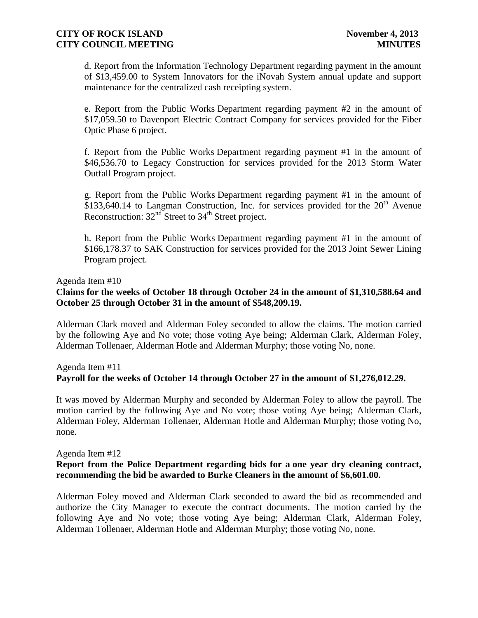d. Report from the Information Technology Department regarding payment in the amount of \$13,459.00 to System Innovators for the iNovah System annual update and support maintenance for the centralized cash receipting system.

e. Report from the Public Works Department regarding payment #2 in the amount of \$17,059.50 to Davenport Electric Contract Company for services provided for the Fiber Optic Phase 6 project.

f. Report from the Public Works Department regarding payment #1 in the amount of \$46,536.70 to Legacy Construction for services provided for the 2013 Storm Water Outfall Program project.

g. Report from the Public Works Department regarding payment #1 in the amount of \$133,640.14 to Langman Construction, Inc. for services provided for the  $20<sup>th</sup>$  Avenue Reconstruction:  $32<sup>nd</sup>$  Street to  $34<sup>th</sup>$  Street project.

h. Report from the Public Works Department regarding payment #1 in the amount of \$166,178.37 to SAK Construction for services provided for the 2013 Joint Sewer Lining Program project.

#### Agenda Item #10

# **Claims for the weeks of October 18 through October 24 in the amount of \$1,310,588.64 and October 25 through October 31 in the amount of \$548,209.19.**

Alderman Clark moved and Alderman Foley seconded to allow the claims. The motion carried by the following Aye and No vote; those voting Aye being; Alderman Clark, Alderman Foley, Alderman Tollenaer, Alderman Hotle and Alderman Murphy; those voting No, none.

# Agenda Item #11 **Payroll for the weeks of October 14 through October 27 in the amount of \$1,276,012.29.**

It was moved by Alderman Murphy and seconded by Alderman Foley to allow the payroll. The motion carried by the following Aye and No vote; those voting Aye being; Alderman Clark, Alderman Foley, Alderman Tollenaer, Alderman Hotle and Alderman Murphy; those voting No, none.

Agenda Item #12

# **Report from the Police Department regarding bids for a one year dry cleaning contract, recommending the bid be awarded to Burke Cleaners in the amount of \$6,601.00.**

Alderman Foley moved and Alderman Clark seconded to award the bid as recommended and authorize the City Manager to execute the contract documents. The motion carried by the following Aye and No vote; those voting Aye being; Alderman Clark, Alderman Foley, Alderman Tollenaer, Alderman Hotle and Alderman Murphy; those voting No, none.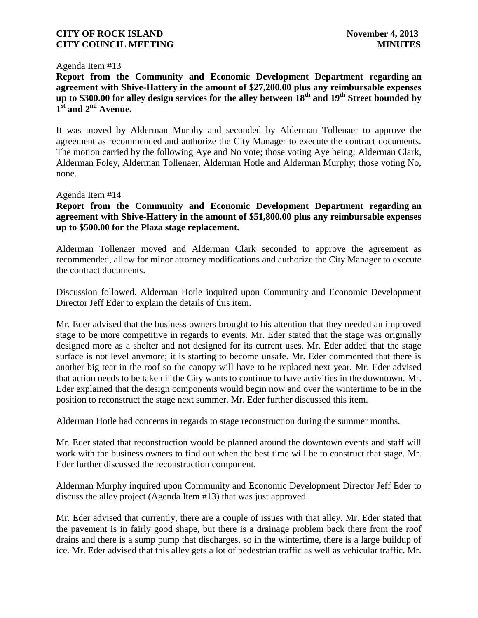#### Agenda Item #13

**Report from the Community and Economic Development Department regarding an agreement with Shive-Hattery in the amount of \$27,200.00 plus any reimbursable expenses up to \$300.00 for alley design services for the alley between 18th and 19th Street bounded by 1 st and 2nd Avenue.** 

It was moved by Alderman Murphy and seconded by Alderman Tollenaer to approve the agreement as recommended and authorize the City Manager to execute the contract documents. The motion carried by the following Aye and No vote; those voting Aye being; Alderman Clark, Alderman Foley, Alderman Tollenaer, Alderman Hotle and Alderman Murphy; those voting No, none.

#### Agenda Item #14

**Report from the Community and Economic Development Department regarding an agreement with Shive-Hattery in the amount of \$51,800.00 plus any reimbursable expenses up to \$500.00 for the Plaza stage replacement.**

Alderman Tollenaer moved and Alderman Clark seconded to approve the agreement as recommended, allow for minor attorney modifications and authorize the City Manager to execute the contract documents.

Discussion followed. Alderman Hotle inquired upon Community and Economic Development Director Jeff Eder to explain the details of this item.

Mr. Eder advised that the business owners brought to his attention that they needed an improved stage to be more competitive in regards to events. Mr. Eder stated that the stage was originally designed more as a shelter and not designed for its current uses. Mr. Eder added that the stage surface is not level anymore; it is starting to become unsafe. Mr. Eder commented that there is another big tear in the roof so the canopy will have to be replaced next year. Mr. Eder advised that action needs to be taken if the City wants to continue to have activities in the downtown. Mr. Eder explained that the design components would begin now and over the wintertime to be in the position to reconstruct the stage next summer. Mr. Eder further discussed this item.

Alderman Hotle had concerns in regards to stage reconstruction during the summer months.

Mr. Eder stated that reconstruction would be planned around the downtown events and staff will work with the business owners to find out when the best time will be to construct that stage. Mr. Eder further discussed the reconstruction component.

Alderman Murphy inquired upon Community and Economic Development Director Jeff Eder to discuss the alley project (Agenda Item #13) that was just approved.

Mr. Eder advised that currently, there are a couple of issues with that alley. Mr. Eder stated that the pavement is in fairly good shape, but there is a drainage problem back there from the roof drains and there is a sump pump that discharges, so in the wintertime, there is a large buildup of ice. Mr. Eder advised that this alley gets a lot of pedestrian traffic as well as vehicular traffic. Mr.